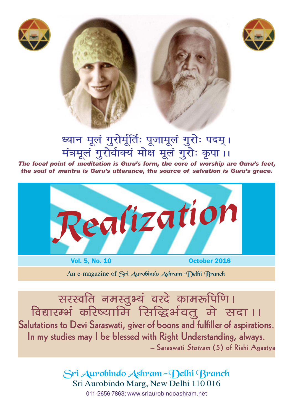



# ध्यान मूलं गुरोर्मूर्तिः पूजामूलं गुरोः पदम्। मंत्रमूलं गुरोर्वाक्यं मोक्ष मूलं गुरोः कृपा।।

*The focal point of meditation is Guru's form, the core of worship are Guru's feet, the soul of mantra is Guru's utterance, the source of salvation is Guru's grace.*



An e-magazine of Sri Aurobindo Ashram-Delhi Branch

*सरस्वति नमस्तुभ्यं वरदे कामरुपि*णि । विद्यारम्भं करिष्यामि सिद्धिर्भवतू मे सदा।। **Salutations to Devi Saraswati, giver of boons and fulfiller of aspirations. In my studies may I be blessed with Right Understanding, always. – Saraswati Stotram (5) of Rishi Agastya**

> Sri Aurobindo Ashram-Delhi Branch Sri Aurobindo Marg, New Delhi 110 016

011-2656 7863; www.sriaurobindoashram.net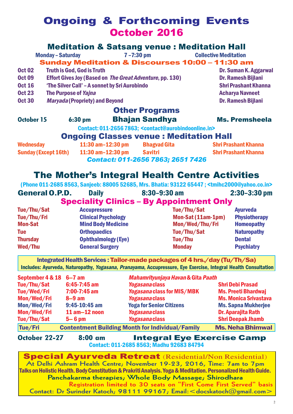## Ongoing & Forthcoming Events October 2016

|                   |                                                                 |                                       |                   | <b>Meditation &amp; Satsang venue: Meditation Hall</b>                            |                                                            |
|-------------------|-----------------------------------------------------------------|---------------------------------------|-------------------|-----------------------------------------------------------------------------------|------------------------------------------------------------|
|                   | <b>Monday - Saturday</b>                                        |                                       | $7 - 7:30$ pm     |                                                                                   | <b>Collective Meditation</b>                               |
|                   |                                                                 |                                       |                   |                                                                                   | <b>Sunday Meditation &amp; Discourses 10:00 - 11:30 am</b> |
| <b>Oct 02</b>     |                                                                 | <b>Truth is God, God is Truth</b>     |                   |                                                                                   | <b>Dr. Suman K. Aggarwal</b>                               |
| <b>Oct 09</b>     | <b>Effort Gives Joy (Based on The Great Adventure, pp. 130)</b> |                                       |                   | <b>Dr. Ramesh Bijlani</b>                                                         |                                                            |
| <b>Oct 16</b>     | 'The Silver Call' - A sonnet by Sri Aurobindo                   |                                       |                   | <b>Shri Prashant Khanna</b>                                                       |                                                            |
| <b>Oct 23</b>     | The Purpose of Yajna                                            |                                       |                   | <b>Acharya Navneet</b>                                                            |                                                            |
| <b>Oct 30</b>     |                                                                 | <b>Maryada (Propriety) and Beyond</b> |                   |                                                                                   | <b>Dr. Ramesh Bijlani</b>                                  |
|                   |                                                                 |                                       |                   | <b>Other Programs</b>                                                             |                                                            |
| <b>October 15</b> |                                                                 | $6:30$ pm                             |                   | <b>Bhajan Sandhya</b>                                                             | <b>Ms. Premsheela</b>                                      |
|                   |                                                                 |                                       |                   | Contact: 011-2656 7863; <contact@aurobindoonline.in></contact@aurobindoonline.in> |                                                            |
|                   |                                                                 |                                       |                   | <b>Ongoing Classes venue: Meditation Hall</b>                                     |                                                            |
| <b>Wednesday</b>  |                                                                 |                                       | 11:30 am-12:30 pm | <b>Bhagvad Gita</b>                                                               | <b>Shri Prashant Khanna</b>                                |
|                   | <b>Sunday (Except 16th)</b>                                     |                                       | 11:30 am-12:30 pm | <b>Savitri</b>                                                                    | <b>Shri Prashant Khanna</b>                                |
|                   |                                                                 |                                       |                   | Contact: 011-2656 7863; 2651 7426                                                 |                                                            |
|                   |                                                                 |                                       |                   |                                                                                   | <b>The Mother's Integral Health Centre Activities</b>      |

(Phone 011-2685 8563, Sanjeeb: 88005 52685, Mrs. Bhatia: 93122 65447 ; <tmihc2000@yahoo.co.in>

| <b>General O.P.D.</b> | <b>Daily</b>               | $8:30 - 9:30$ am                                | $2:30-3:30$ pm       |
|-----------------------|----------------------------|-------------------------------------------------|----------------------|
|                       |                            | <b>Speciality Clinics - By Appointment Only</b> |                      |
| Tue/Thu/Sat           | <b>Accupressure</b>        | Tue/Thu/Sat                                     | <b>Ayurveda</b>      |
| Tue/Thu/Fri           | <b>Clinical Psychology</b> | Mon-Sat (11am-1pm)                              | <b>Physiotherapy</b> |
| <b>Mon-Sat</b>        | <b>Mind Body Medicine</b>  | Mon/Wed/Thu/Fri                                 | <b>Homeopathy</b>    |
| <b>Tue</b>            | <b>Orthopaedics</b>        | Tue/Thu/Sat                                     | <b>Naturopathy</b>   |
| <b>Thursday</b>       | <b>Ophthalmology (Eye)</b> | Tue/Thu                                         | <b>Dental</b>        |
| Wed/Thu               | <b>General Surgery</b>     | <b>Monday</b>                                   | <b>Psychiatry</b>    |

Integrated Health Services : Tailor-made packages of 4 hrs./day (Tu/Th/Sa) Includes: Ayurveda, Naturopathy, Yogasana, Pranayama, Accupressure, Eye Exercise, Integral Health Consultation

| September 4 & 18 6-7 am |                    | Mahamrityunjaya Havan & Gita Paath                      |                              |
|-------------------------|--------------------|---------------------------------------------------------|------------------------------|
| Tue/Thu/Sat             | 6:45-7:45 am       | <i><b>Yogasanaclass</b></i>                             | <b>Shri Debi Prasad</b>      |
| Tue/Wed/Fri             | $7:00-7:45$ am     | Yogasana class for MIS/MBK                              | <b>Ms. Preeti Bhardwaj</b>   |
| Mon/Wed/Fri             | $8-9$ am           | <i><b>Yogasanaclass</b></i>                             | <b>Ms. Monica Srivastava</b> |
| Mon/Wed/Fri             | $9:45-10:45$ am    | <b>Yoga for Senior Citizens</b>                         | <b>Ms. Sapna Mukherjee</b>   |
| Mon/Wed/Fri             | $11$ am $-12$ noon | <i><b>Yogasanaclass</b></i>                             | Dr. Aparajita Rath           |
| Tue/Thu/Sat             | $5 - 6$ pm         | <b>Yogasanaclass</b>                                    | <b>Shri Deepak Jhamb</b>     |
| Tue/Fri                 |                    | <b>Contentment Building Month for Individual/Family</b> | <b>Ms. Neha Bhimwal</b>      |

October 22-27 8:00 am Integral Eye Exercise Camp Contact: 011-2685 8563; Madhu 92683 84794

Special Ayurveda Retreat (Residential/Non Residential) **At Delhi Ashram Health Centre; November 19-23, 2016, Time: 7am to 7pm** Talks on Holistic Health. Body Constitution & Prakriti Analysis. Yoga & Meditation. Personalized Health Guide. **Panchakarma therapies; Whole Body Massage; Shirodhara Registration limited to 30 seats on "First Come First Served" basis Contact: Dr Surinder Katoch; 98111 99167; Email:<docskatoch@gmail.com>**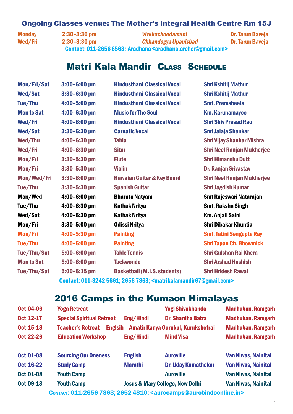#### Ongoing Classes venue: The Mother's Integral Health Centre Rm 15J

| <b>Monday</b> | $2:30 - 3:30$ pm | Vivekachoodamani                                                                         | <b>Dr. Tarun Baveja</b> |
|---------------|------------------|------------------------------------------------------------------------------------------|-------------------------|
| Wed/Fri       | $2:30 - 3:30$ pm | <b>Chhandogya Upanishad</b>                                                              | <b>Dr. Tarun Baveja</b> |
|               |                  | Contact: 011-2656 8563; Aradhana <aradhana.archer@gmail.com></aradhana.archer@gmail.com> |                         |

### Matri Kala Mandir CLASS SCHEDULE

| Mon/Fri/Sat       | $3:00 - 6:00$ pm | <b>Hindusthani Classical Vocal</b>    | <b>Shri Kshitij Mathur</b>        |
|-------------------|------------------|---------------------------------------|-----------------------------------|
| Wed/Sat           | $3:30-6:30$ pm   | <b>Hindusthani Classical Vocal</b>    | <b>Shri Kshitij Mathur</b>        |
| Tue/Thu           | $4:00 - 5:00$ pm | <b>Hindusthani Classical Vocal</b>    | <b>Smt. Premsheela</b>            |
| <b>Mon to Sat</b> | $4:00 - 6:30$ pm | <b>Music for The Soul</b>             | <b>Km. Karunamayee</b>            |
| Wed/Fri           | $4:00 - 6:00$ pm | <b>Hindusthani Classical Vocal</b>    | <b>Shri Shiv Prasad Rao</b>       |
| Wed/Sat           | $3:30-6:30$ pm   | <b>Carnatic Vocal</b>                 | <b>Smt Jalaja Shankar</b>         |
| Wed/Thu           | $4:00 - 6:30$ pm | <b>Tabla</b>                          | <b>Shri Vijay Shankar Mishra</b>  |
| Wed/Fri           | $4:00 - 6:30$ pm | <b>Sitar</b>                          | <b>Shri Neel Ranjan Mukherjee</b> |
| Mon/Fri           | $3:30 - 5:30$ pm | <b>Flute</b>                          | <b>Shri Himanshu Dutt</b>         |
| Mon/Fri           | $3:30 - 5:30$ pm | <b>Violin</b>                         | <b>Dr. Ranjan Srivastav</b>       |
| Mon/Wed/Fri       | $3:30 - 6:00$ pm | <b>Hawaian Guitar &amp; Key Board</b> | <b>Shri Neel Ranjan Mukherjee</b> |
| Tue/Thu           | $3:30 - 5:30$ pm | <b>Spanish Guitar</b>                 | <b>Shri Jagdish Kumar</b>         |
| Mon/Wed           | $4:00 - 6:00$ pm | <b>Bharata Natyam</b>                 | Smt Rajeswari Natarajan           |
| Tue/Thu           | $4:00 - 6:30$ pm | <b>Kathak Nritya</b>                  | <b>Smt. Raksha Singh</b>          |
| Wed/Sat           | $4:00 - 6:30$ pm | <b>Kathak Nritya</b>                  | <b>Km. Anjali Saini</b>           |
| Mon/Fri           | $3:30 - 5:00$ pm | Odissi Nritya                         | <b>Shri Dibakar Khuntia</b>       |
| Mon/Fri           | $4:00 - 5:30$ pm | <b>Painting</b>                       | <b>Smt. Tatini Sengupta Ray</b>   |
| Tue/Thu           | $4:00 - 6:00$ pm | <b>Painting</b>                       | <b>Shri Tapan Ch. Bhowmick</b>    |
| Tue/Thu/Sat       | $5:00 - 6:00$ pm | <b>Table Tennis</b>                   | <b>Shri Gulshan Rai Khera</b>     |
| <b>Mon to Sat</b> | $5:00 - 6:00$ pm | <b>Taekwondo</b>                      | <b>Shri Arshad Hashish</b>        |
| Tue/Thu/Sat       | $5:00 - 6:15$ pm | <b>Basketball (M.I.S. students)</b>   | <b>Shri Hridesh Rawal</b>         |
|                   |                  | 1.11.1.044.0040.004.0000.7000.0000    |                                   |

Contact: 011-3242 5661; 2656 7863; <matrikalamandir67@gmail.com>

### 2016 Camps in the Kumaon Himalayas

| <b>Oct 04-06</b> | <b>Yoga Retreat</b>                                                                              |                | <b>Yogi Shivakhanda</b>                    | <b>Madhuban, Ramgarh</b>   |
|------------------|--------------------------------------------------------------------------------------------------|----------------|--------------------------------------------|----------------------------|
| <b>Oct 12-17</b> | <b>Special Spiritual Retreat</b>                                                                 | Eng/Hindi      | <b>Dr. Shardha Batra</b>                   | <b>Madhuban, Ramgarh</b>   |
| <b>Oct 15-18</b> | <b>Teacher's Retreat</b><br><b>Englsih</b>                                                       |                | Amatir Kanya Gurukul, Kurukshetrai         | <b>Madhuban, Ramgarh</b>   |
| <b>Oct 22-26</b> | <b>Education Workshop</b>                                                                        | Eng/Hindi      | <b>Mind Visa</b>                           | <b>Madhuban, Ramgarh</b>   |
| <b>Oct 01-08</b> | <b>Sourcing Our Oneness</b>                                                                      | <b>English</b> | <b>Auroville</b>                           | <b>Van Niwas, Nainital</b> |
| <b>Oct 16-22</b> | <b>Study Camp</b>                                                                                | <b>Marathi</b> | <b>Dr. Uday Kumathekar</b>                 | <b>Van Niwas, Nainital</b> |
| <b>Oct 01-08</b> | <b>Youth Camp</b>                                                                                |                | <b>Auroville</b>                           | <b>Van Niwas, Nainital</b> |
| <b>Oct 09-13</b> | <b>Youth Camp</b>                                                                                |                | <b>Jesus &amp; Mary College, New Delhi</b> | <b>Van Niwas, Nainital</b> |
|                  | CONTACT: 011-2656 7863; 2652 4810; <aurocamps@aurobindoonline.in></aurocamps@aurobindoonline.in> |                |                                            |                            |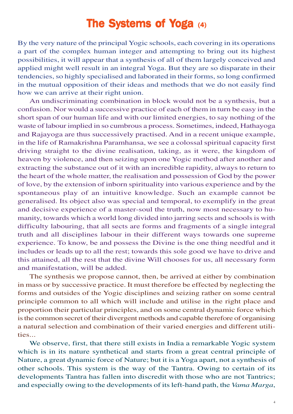## The Systems of Yoga (4)

By the very nature of the principal Yogic schools, each covering in its operations a part of the complex human integer and attempting to bring out its highest possibilities, it will appear that a synthesis of all of them largely conceived and applied might well result in an integral Yoga. But they are so disparate in their tendencies, so highly specialised and laborated in their forms, so long confirmed in the mutual opposition of their ideas and methods that we do not easily find how we can arrive at their right union.

An undiscriminating combination in block would not be a synthesis, but a confusion. Nor would a successive practice of each of them in turn be easy in the short span of our human life and with our limited energies, to say nothing of the waste of labour implied in so cumbrous a process. Sometimes, indeed, Hathayoga and Rajayoga are thus successively practised. And in a recent unique example, in the life of Ramakrishna Paramhansa, we see a colossal spiritual capacity first driving straight to the divine realisation, taking, as it were, the kingdom of heaven by violence, and then seizing upon one Yogic method after another and extracting the substance out of it with an incredible rapidity, always to return to the heart of the whole matter, the realisation and possession of God by the power of love, by the extension of inborn spirituality into various experience and by the spontaneous play of an intuitive knowledge. Such an example cannot be generalised. Its object also was special and temporal, to exemplify in the great and decisive experience of a master-soul the truth, now most necessary to humanity, towards which a world long divided into jarring sects and schools is with difficulty labouring, that all sects are forms and fragments of a single integral truth and all disciplines labour in their different ways towards one supreme experience. To know, be and possess the Divine is the one thing needful and it includes or leads up to all the rest; towards this sole good we have to drive and this attained, all the rest that the divine Will chooses for us, all necessary form and manifestation, will be added.

The synthesis we propose cannot, then, be arrived at either by combination in mass or by successive practice. It must therefore be effected by neglecting the forms and outsides of the Yogic disciplines and seizing rather on some central principle common to all which will include and utilise in the right place and proportion their particular principles, and on some central dynamic force which is the common secret of their divergent methods and capable therefore of organising a natural selection and combination of their varied energies and different utilities...

We observe, first, that there still exists in India a remarkable Yogic system which is in its nature synthetical and starts from a great central principle of Nature, a great dynamic force of Nature; but it is a Yoga apart, not a synthesis of other schools. This system is the way of the Tantra. Owing to certain of its developments Tantra has fallen into discredit with those who are not Tantrics; and especially owing to the developments of its left-hand path, the *Vama Marga*,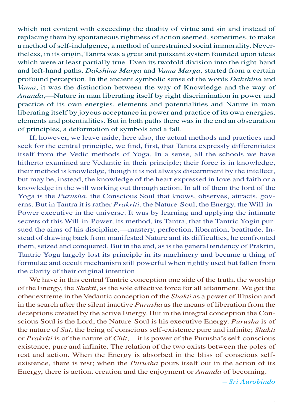which not content with exceeding the duality of virtue and sin and instead of replacing them by spontaneous rightness of action seemed, sometimes, to make a method of self-indulgence, a method of unrestrained social immorality. Nevertheless, in its origin, Tantra was a great and puissant system founded upon ideas which were at least partially true. Even its twofold division into the right-hand and left-hand paths, *Dakshina Marga* and *Vama Marga*, started from a certain profound perception. In the ancient symbolic sense of the words *Dakshina* and *Vama*, it was the distinction between the way of Knowledge and the way of *Ananda*,—Nature in man liberating itself by right discrimination in power and practice of its own energies, elements and potentialities and Nature in man liberating itself by joyous acceptance in power and practice of its own energies, elements and potentialities. But in both paths there was in the end an obscuration of principles, a deformation of symbols and a fall.

If, however, we leave aside, here also, the actual methods and practices and seek for the central principle, we find, first, that Tantra expressly differentiates itself from the Vedic methods of Yoga. In a sense, all the schools we have hitherto examined are Vedantic in their principle; their force is in knowledge, their method is knowledge, though it is not always discernment by the intellect, but may be, instead, the knowledge of the heart expressed in love and faith or a knowledge in the will working out through action. In all of them the lord of the Yoga is the *Purusha*, the Conscious Soul that knows, observes, attracts, governs. But in Tantra it is rather *Prakriti*, the Nature-Soul, the Energy, the Will-in-Power executive in the universe. It was by learning and applying the intimate secrets of this Will-in-Power, its method, its Tantra, that the Tantric Yogin pursued the aims of his discipline,—mastery, perfection, liberation, beatitude. Instead of drawing back from manifested Nature and its difficulties, he confronted them, seized and conquered. But in the end, as is the general tendency of Prakriti, Tantric Yoga largely lost its principle in its machinery and became a thing of formulae and occult mechanism still powerful when rightly used but fallen from the clarity of their original intention.

We have in this central Tantric conception one side of the truth, the worship of the Energy, the *Shakti*, as the sole effective force for all attainment. We get the other extreme in the Vedantic conception of the *Shakti* as a power of Illusion and in the search after the silent inactive *Purusha* as the means of liberation from the deceptions created by the active Energy. But in the integral conception the Conscious Soul is the Lord, the Nature-Soul is his executive Energy. *Purusha* is of the nature of *Sat*, the being of conscious self-existence pure and infinite; *Shakti* or *Prakriti* is of the nature of *Chit*,—it is power of the Purusha's self-conscious existence, pure and infinite. The relation of the two exists between the poles of rest and action. When the Energy is absorbed in the bliss of conscious selfexistence, there is rest; when the *Purusha* pours itself out in the action of its Energy, there is action, creation and the enjoyment or *Ananda* of becoming.

– *Sri Aurobindo*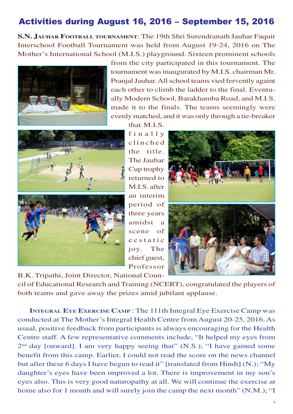### Activities during August 16, 2016 – September 15, 2016

**S.N. JAUHAR FOOTBALL TOURNAMENT**: The 19th Shri Surendranath Jauhar Faquir Interschool Football Tournament was held from August 19-24, 2016 on The Mother's International School (M.I.S.) playground. Sixteen prominent schools



from the city participated in this tournament. The tournament was inaugurated by M.I.S. chairman Mr. Pranjal Jauhar. All school teams vied fervently againt each other to climb the ladder to the final. Eventually Modern School, Barakhamba Road, and M.I.S. made it to the finals. The teams seemingly were evenly matched, and it was only through a tie-breaker





B.K. Tripathi, Joint Director, National Coun-

that M.I.S.

finally clinched the title. The Jauhar Cup trophy returned to M.I.S. after an interim period of three years amidst a scene of ecstatic joy. The chief guest, Professor



cil of Educational Research and Training (NCERT), congratulated the players of both teams and gave away the prizes amid jubilant applause.

**INTEGRAL EYE EXERCISE CAMP** : The 111th Integral Eye Exercise Camp was conducted at The Mother's Integral Health Centre from August 20-25, 2016. As usual, positive feedback from participants is always encouraging for the Health Centre staff. A few representative comments include, "It helped my eyes from 2<sup>nd</sup> day [onward]. I am very happy seeing that" (N.S.); "I have gained some benefit from this camp. Earlier, I could not read the score on the news channel but after these 6 days I have begun to read it" [translated from Hindi] (N.); "My daughter's eyes have been improved a lot. There is improvement in my son's eyes also. This is very good naturopathy at all. We will continue the exercise at home also for 1 month and will surely join the camp the next month" (N.M.); "I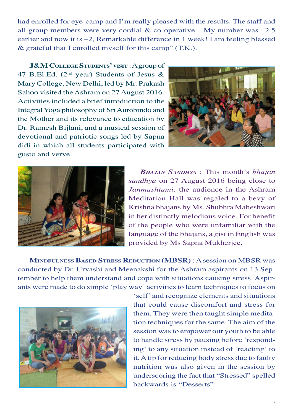had enrolled for eye-camp and I'm really pleased with the results. The staff and all group members were very cordial  $&$  co-operative... My number was  $-2.5$ earlier and now it is –2, Remarkable difference in 1 week! I am feeling blessed & grateful that I enrolled myself for this camp" (T.K.).

**J&M COLLEGE STUDENTS' VISIT** : A group of 47 B.El.Ed. ( $2<sup>nd</sup>$  year) Students of Jesus & Mary College, New Delhi, led by Mr. Prakash Sahoo visited the Ashram on 27 August 2016. Activities included a brief introduction to the Integral Yoga philosophy of Sri Aurobindo and the Mother and its relevance to education by Dr. Ramesh Bijlani, and a musical session of devotional and patriotic songs led by Sapna didi in which all students participated with gusto and verve.





*BHAJAN SANDHYA* : This month's *bhajan sandhya* on 27 August 2016 being close to *Janmashtami*, the audience in the Ashram Meditation Hall was regaled to a bevy of Krishna bhajans by Ms. Shubhra Maheshwari in her distinctly melodious voice. For benefit of the people who were unfamiliar with the language of the bhajans, a gist in English was provided by Ms Sapna Mukherjee.

**MINDFULNESS BASED STRESS REDUCTION (MBSR)** : A session on MBSR was conducted by Dr. Urvashi and Meenakshi for the Ashram aspirants on 13 September to help them understand and cope with situations causing stress. Aspirants were made to do simple 'play way' activities to learn techniques to focus on



'self' and recognize elements and situations that could cause discomfort and stress for them. They were then taught simple meditation techniques for the same. The aim of the session was to empower our youth to be able to handle stress by pausing before 'responding' to any situation instead of 'reacting' to it. A tip for reducing body stress due to faulty nutrition was also given in the session by underscoring the fact that "Stressed" spelled backwards is "Desserts".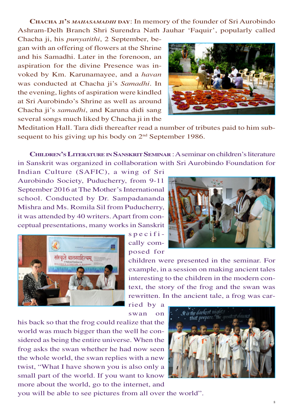**CHACHA JI'<sup>S</sup>** *MAHASAMADHI* **DAY**: In memory of the founder of Sri Aurobindo Ashram-Delh Branch Shri Surendra Nath Jauhar 'Faquir', popularly called

Chacha ji, his *punyatithi*, 2 September, began with an offering of flowers at the Shrine and his Samadhi. Later in the forenoon, an aspiration for the divine Presence was invoked by Km. Karunamayee, and a *havan* was conducted at Chacha ji's *Samadhi*. In the evening, lights of aspiration were kindled at Sri Aurobindo's Shrine as well as around Chacha ji's *samadhi*, and Karuna didi sang several songs much liked by Chacha ji in the



Meditation Hall. Tara didi thereafter read a number of tributes paid to him subsequent to his giving up his body on 2<sup>nd</sup> September 1986.

**CHILDREN'S LITERATURE IN SANSKRIT SEMINAR** : A seminar on children's literature in Sanskrit was organized in collaboration with Sri Aurobindo Foundation for

Indian Culture (SAFIC), a wing of Sri Aurobindo Society, Puducherry, from 9-11 September 2016 at The Mother's International school. Conducted by Dr. Sampadananda Mishra and Ms. Romila Sil from Puducherry, it was attended by 40 writers. Apart from conceptual presentations, many works in Sanskrit



specifically composed for

children were presented in the seminar. For example, in a session on making ancient tales interesting to the children in the modern context, the story of the frog and the swan was rewritten. In the ancient tale, a frog was car-

ried by a swan on

his back so that the frog could realize that the world was much bigger than the well he considered as being the entire universe. When the frog asks the swan whether he had now seen the whole world, the swan replies with a new twist, "What I have shown you is also only a small part of the world. If you want to know more about the world, go to the internet, and



you will be able to see pictures from all over the world".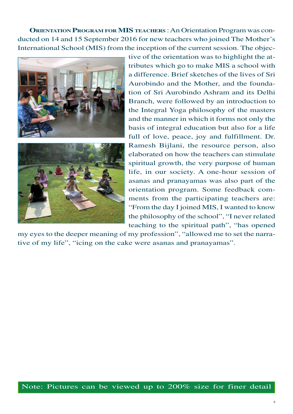**ORIENTATION PROGRAM FOR MIS TEACHERS** : An Orientation Program was conducted on 14 and 15 September 2016 for new teachers who joined The Mother's International School (MIS) from the inception of the current session. The objec-





tive of the orientation was to highlight the attributes which go to make MIS a school with a difference. Brief sketches of the lives of Sri Aurobindo and the Mother, and the foundation of Sri Aurobindo Ashram and its Delhi Branch, were followed by an introduction to the Integral Yoga philosophy of the masters and the manner in which it forms not only the basis of integral education but also for a life full of love, peace, joy and fulfillment. Dr. Ramesh Bijlani, the resource person, also elaborated on how the teachers can stimulate spiritual growth, the very purpose of human life, in our society. A one-hour session of asanas and pranayamas was also part of the orientation program. Some feedback comments from the participating teachers are: "From the day I joined MIS, I wanted to know the philosophy of the school", "I never related teaching to the spiritual path", "has opened

my eyes to the deeper meaning of my profession", "allowed me to set the narrative of my life", "icing on the cake were asanas and pranayamas".

#### Note: Pictures can be viewed up to 200% size for finer detail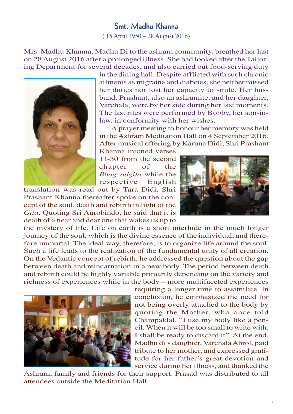#### **Smt. Madhu Khanna**

#### ( 15 April 1950 – 28 August 2016)

Mrs. Madhu Khanna, Madhu Di to the ashram community, breathed her last on 28 August 2016 after a prolonged illness. She had looked after the Tailoring Department for several decades, and also carried out food-serving duty



in the dining hall. Despite afflicted with such chronic ailments as migraine and diabetes, she neither missed her duties nor lost her capacity to smile. Her husband, Prashant, also an ashramite, and her daughter, Varchala, were by her side during her last moments. The last rites were performed by Bobby, her son-inlaw, in conformity with her wishes.

A prayer meeting to honour her memory was held in the Ashram Meditation Hall on 4 September 2016. After musical offering by Karuna Didi, Shri Prashant

Khanna intoned verses 11-30 from the second chapter of the *Bhagvadgita* while the respective English

translation was read out by Tara Didi. Shri Prashant Khanna thereafter spoke on the concept of the soul, death and rebirth in light of the *Gita*. Quoting Sri Aurobindo, he said that it is death of a near and dear one that wakes us up to



the mystery of life. Life on earth is a short interlude in the much longer journey of the soul, which is the divine essence of the individual, and therefore immortal. The ideal way, therefore, is to organize life around the soul. Such a life leads to the realization of the fundamental unity of all creation. On the Vedantic concept of rebirth, he addressed the question about the gap between death and reincarnation in a new body. The period between death and rebirth could be highly variable primarily depending on the variety and richness of experiences while in the body – more multifaceted experiences



requiring a longer time to assimilate. In conclusion, he emphasized the need for not being overly attached to the body by quoting the Mother, who once told Champaklal, "I use my body like a pencil. When it will be too small to write with, I shall be ready to discard it". At the end, Madhu di's daughter, Varchala Abrol, paid tribute to her mother, and expressed gratitude for her father's great devotion and service during her illness, and thanked the

Ashram, family and friends for their support. Prasad was distributed to all attendees outside the Meditation Hall.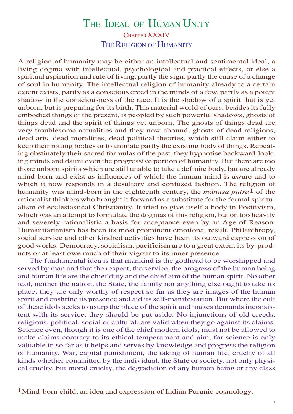### THE IDEAL OF HUMAN UNITY CHAPTER XXXIV THE RELIGION OF HUMANITY

A religion of humanity may be either an intellectual and sentimental ideal, a living dogma with intellectual, psychological and practical effects, or else a spiritual aspiration and rule of living, partly the sign, partly the cause of a change of soul in humanity. The intellectual religion of humanity already to a certain extent exists, partly as a conscious creed in the minds of a few, partly as a potent shadow in the consciousness of the race. It is the shadow of a spirit that is yet unborn, but is preparing for its birth. This material world of ours, besides its fully embodied things of the present, is peopled by such powerful shadows, ghosts of things dead and the spirit of things yet unborn. The ghosts of things dead are very troublesome actualities and they now abound, ghosts of dead religions, dead arts, dead moralities, dead political theories, which still claim either to keep their rotting bodies or to animate partly the existing body of things. Repeating obstinately their sacred formulas of the past, they hypnotise backward-looking minds and daunt even the progressive portion of humanity. But there are too those unborn spirits which are still unable to take a definite body, but are already mind-born and exist as influences of which the human mind is aware and to which it now responds in a desultory and confused fashion. The religion of humanity was mind-born in the eighteenth century, the *mânasa putra***1** of the rationalist thinkers who brought it forward as a substitute for the formal spiritualism of ecclesiastical Christianity. It tried to give itself a body in Positivism, which was an attempt to formulate the dogmas of this religion, but on too heavily and severely rationalistic a basis for acceptance even by an Age of Reason. Humanitarianism has been its most prominent emotional result. Philanthropy, social service and other kindred activities have been its outward expression of good works. Democracy, socialism, pacificism are to a great extent its by-products or at least owe much of their vigour to its inner presence.

The fundamental idea is that mankind is the godhead to be worshipped and served by man and that the respect, the service, the progress of the human being and human life are the chief duty and the chief aim of the human spirit. No other idol, neither the nation, the State, the family nor anything else ought to take its place; they are only worthy of respect so far as they are images of the human spirit and enshrine its presence and aid its self-manifestation. But where the cult of these idols seeks to usurp the place of the spirit and makes demands inconsistent with its service, they should be put aside. No injunctions of old creeds, religious, political, social or cultural, are valid when they go against its claims. Science even, though it is one of the chief modern idols, must not be allowed to make claims contrary to its ethical temperament and aim, for science is only valuable in so far as it helps and serves by knowledge and progress the religion of humanity. War, capital punishment, the taking of human life, cruelty of all kinds whether committed by the individual, the State or society, not only physical cruelty, but moral cruelty, the degradation of any human being or any class

**1**Mind-born child, an idea and expression of Indian Puranic cosmology.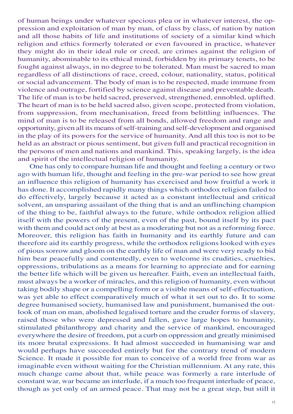of human beings under whatever specious plea or in whatever interest, the oppression and exploitation of man by man, of class by class, of nation by nation and all those habits of life and institutions of society of a similar kind which religion and ethics formerly tolerated or even favoured in practice, whatever they might do in their ideal rule or creed, are crimes against the religion of humanity, abominable to its ethical mind, forbidden by its primary tenets, to be fought against always, in no degree to be tolerated. Man must be sacred to man regardless of all distinctions of race, creed, colour, nationality, status, political or social advancement. The body of man is to be respected, made immune from violence and outrage, fortified by science against disease and preventable death. The life of man is to be held sacred, preserved, strengthened, ennobled, uplifted. The heart of man is to be held sacred also, given scope, protected from violation, from suppression, from mechanisation, freed from belittling influences. The mind of man is to be released from all bonds, allowed freedom and range and opportunity, given all its means of self-training and self-development and organised in the play of its powers for the service of humanity. And all this too is not to be held as an abstract or pious sentiment, but given full and practical recognition in the persons of men and nations and mankind. This, speaking largely, is the idea and spirit of the intellectual religion of humanity.

One has only to compare human life and thought and feeling a century or two ago with human life, thought and feeling in the pre-war period to see how great an influence this religion of humanity has exercised and how fruitful a work it has done. It accomplished rapidly many things which orthodox religion failed to do effectively, largely because it acted as a constant intellectual and critical solvent, an unsparing assailant of the thing that is and an unflinching champion of the thing to be, faithful always to the future, while orthodox religion allied itself with the powers of the present, even of the past, bound itself by its pact with them and could act only at best as a moderating but not as a reforming force. Moreover, this religion has faith in humanity and its earthly future and can therefore aid its earthly progress, while the orthodox religions looked with eyes of pious sorrow and gloom on the earthly life of man and were very ready to bid him bear peacefully and contentedly, even to welcome its crudities, cruelties, oppressions, tribulations as a means for learning to appreciate and for earning the better life which will be given us hereafter. Faith, even an intellectual faith, must always be a worker of miracles, and this religion of humanity, even without taking bodily shape or a compelling form or a visible means of self-effectuation, was yet able to effect comparatively much of what it set out to do. It to some degree humanised society, humanised law and punishment, humanised the outlook of man on man, abolished legalised torture and the cruder forms of slavery, raised those who were depressed and fallen, gave large hopes to humanity, stimulated philanthropy and charity and the service of mankind, encouraged everywhere the desire of freedom, put a curb on oppression and greatly minimised its more brutal expressions. It had almost succeeded in humanising war and would perhaps have succeeded entirely but for the contrary trend of modern Science. It made it possible for man to conceive of a world free from war as imaginable even without waiting for the Christian millennium. At any rate, this much change came about that, while peace was formerly a rare interlude of constant war, war became an interlude, if a much too frequent interlude of peace, though as yet only of an armed peace. That may not be a great step, but still it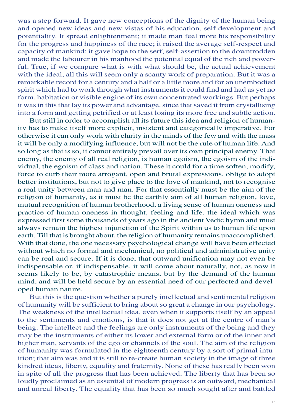was a step forward. It gave new conceptions of the dignity of the human being and opened new ideas and new vistas of his education, self development and potentiality. It spread enlightenment; it made man feel more his responsibility for the progress and happiness of the race; it raised the average self-respect and capacity of mankind; it gave hope to the serf, self-assertion to the downtrodden and made the labourer in his manhood the potential equal of the rich and powerful. True, if we compare what is with what should be, the actual achievement with the ideal, all this will seem only a scanty work of preparation. But it was a remarkable record for a century and a half or a little more and for an unembodied spirit which had to work through what instruments it could find and had as yet no form, habitation or visible engine of its own concentrated workings. But perhaps it was in this that lay its power and advantage, since that saved it from crystallising into a form and getting petrified or at least losing its more free and subtle action.

But still in order to accomplish all its future this idea and religion of humanity has to make itself more explicit, insistent and categorically imperative. For otherwise it can only work with clarity in the minds of the few and with the mass it will be only a modifying influence, but will not be the rule of human life. And so long as that is so, it cannot entirely prevail over its own principal enemy. That enemy, the enemy of all real religion, is human egoism, the egoism of the individual, the egoism of class and nation. These it could for a time soften, modify, force to curb their more arrogant, open and brutal expressions, oblige to adopt better institutions, but not to give place to the love of mankind, not to recognise a real unity between man and man. For that essentially must be the aim of the religion of humanity, as it must be the earthly aim of all human religion, love, mutual recognition of human brotherhood, a living sense of human oneness and practice of human oneness in thought, feeling and life, the ideal which was expressed first some thousands of years ago in the ancient Vedic hymn and must always remain the highest injunction of the Spirit within us to human life upon earth. Till that is brought about, the religion of humanity remains unaccomplished. With that done, the one necessary psychological change will have been effected without which no formal and mechanical, no political and administrative unity can be real and secure. If it is done, that outward unification may not even be indispensable or, if indispensable, it will come about naturally, not, as now it seems likely to be, by catastrophic means, but by the demand of the human mind, and will be held secure by an essential need of our perfected and developed human nature.

But this is the question whether a purely intellectual and sentimental religion of humanity will be sufficient to bring about so great a change in our psychology. The weakness of the intellectual idea, even when it supports itself by an appeal to the sentiments and emotions, is that it does not get at the centre of man's being. The intellect and the feelings are only instruments of the being and they may be the instruments of either its lower and external form or of the inner and higher man, servants of the ego or channels of the soul. The aim of the religion of humanity was formulated in the eighteenth century by a sort of primal intuition; that aim was and it is still to re-create human society in the image of three kindred ideas, liberty, equality and fraternity. None of these has really been won in spite of all the progress that has been achieved. The liberty that has been so loudly proclaimed as an essential of modern progress is an outward, mechanical and unreal liberty. The equality that has been so much sought after and battled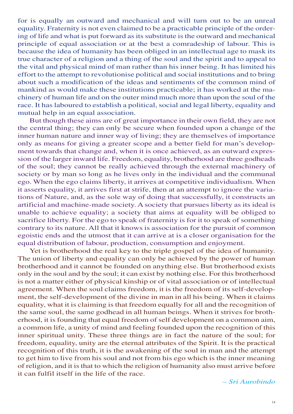for is equally an outward and mechanical and will turn out to be an unreal equality. Fraternity is not even claimed to be a practicable principle of the ordering of life and what is put forward as its substitute is the outward and mechanical principle of equal association or at the best a comradeship of labour. This is because the idea of humanity has been obliged in an intellectual age to mask its true character of a religion and a thing of the soul and the spirit and to appeal to the vital and physical mind of man rather than his inner being. It has limited his effort to the attempt to revolutionise political and social institutions and to bring about such a modification of the ideas and sentiments of the common mind of mankind as would make these institutions practicable; it has worked at the machinery of human life and on the outer mind much more than upon the soul of the race. It has laboured to establish a political, social and legal liberty, equality and mutual help in an equal association.

But though these aims are of great importance in their own field, they are not the central thing; they can only be secure when founded upon a change of the inner human nature and inner way of living; they are themselves of importance only as means for giving a greater scope and a better field for man's development towards that change and, when it is once achieved, as an outward expression of the larger inward life. Freedom, equality, brotherhood are three godheads of the soul; they cannot be really achieved through the external machinery of society or by man so long as he lives only in the individual and the communal ego. When the ego claims liberty, it arrives at competitive individualism. When it asserts equality, it arrives first at strife, then at an attempt to ignore the variations of Nature, and, as the sole way of doing that successfully, it constructs an artificial and machine-made society. A society that pursues liberty as its ideal is unable to achieve equality; a society that aims at equality will be obliged to sacrifice liberty. For the ego to speak of fraternity is for it to speak of something contrary to its nature. All that it knows is association for the pursuit of common egoistic ends and the utmost that it can arrive at is a closer organisation for the equal distribution of labour, production, consumption and enjoyment.

Yet is brotherhood the real key to the triple gospel of the idea of humanity. The union of liberty and equality can only be achieved by the power of human brotherhood and it cannot be founded on anything else. But brotherhood exists only in the soul and by the soul; it can exist by nothing else. For this brotherhood is not a matter either of physical kinship or of vital association or of intellectual agreement. When the soul claims freedom, it is the freedom of its self-development, the self-development of the divine in man in all his being. When it claims equality, what it is claiming is that freedom equally for all and the recognition of the same soul, the same godhead in all human beings. When it strives for brotherhood, it is founding that equal freedom of self development on a common aim, a common life, a unity of mind and feeling founded upon the recognition of this inner spiritual unity. These three things are in fact the nature of the soul; for freedom, equality, unity are the eternal attributes of the Spirit. It is the practical recognition of this truth, it is the awakening of the soul in man and the attempt to get him to live from his soul and not from his ego which is the inner meaning of religion, and it is that to which the religion of humanity also must arrive before it can fulfil itself in the life of the race.

– *Sri Aurobindo*